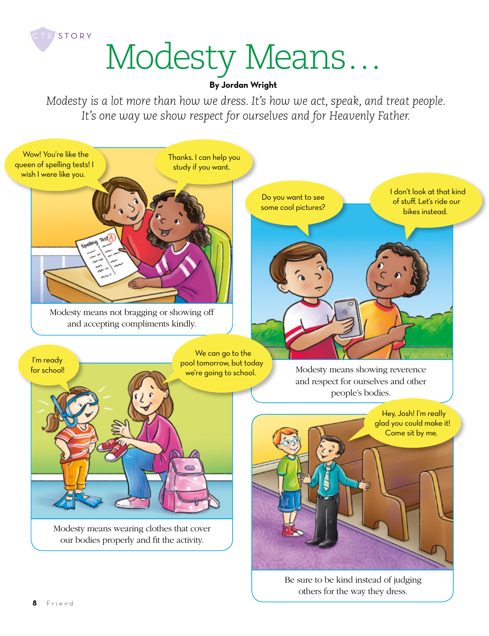

## **By Jordan Wright**

*Modesty is a lot more than how we dress. It's how we act, speak, and treat people. It's one way we show respect for ourselves and for Heavenly Father.*



Be sure to be kind instead of judging others for the way they dress.

CTR STORY